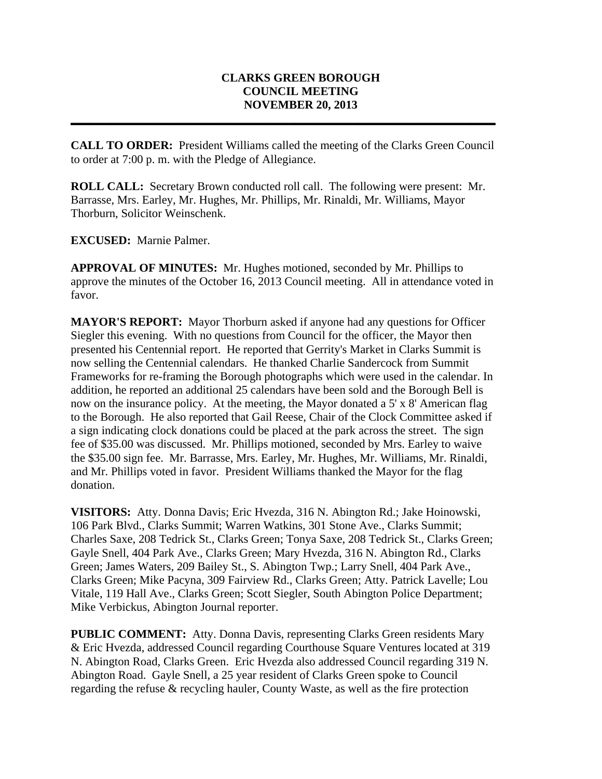## **CLARKS GREEN BOROUGH COUNCIL MEETING NOVEMBER 20, 2013**

**CALL TO ORDER:** President Williams called the meeting of the Clarks Green Council to order at 7:00 p. m. with the Pledge of Allegiance.

**\_\_\_\_\_\_\_\_\_\_\_\_\_\_\_\_\_\_\_\_\_\_\_\_\_\_\_\_\_\_\_\_\_\_\_\_\_\_\_\_\_\_\_\_\_\_\_\_\_\_\_\_\_\_\_\_\_\_\_\_\_\_\_\_\_\_\_\_\_\_\_\_**

**ROLL CALL:** Secretary Brown conducted roll call. The following were present: Mr. Barrasse, Mrs. Earley, Mr. Hughes, Mr. Phillips, Mr. Rinaldi, Mr. Williams, Mayor Thorburn, Solicitor Weinschenk.

**EXCUSED:** Marnie Palmer.

**APPROVAL OF MINUTES:** Mr. Hughes motioned, seconded by Mr. Phillips to approve the minutes of the October 16, 2013 Council meeting. All in attendance voted in favor.

**MAYOR'S REPORT:** Mayor Thorburn asked if anyone had any questions for Officer Siegler this evening. With no questions from Council for the officer, the Mayor then presented his Centennial report. He reported that Gerrity's Market in Clarks Summit is now selling the Centennial calendars. He thanked Charlie Sandercock from Summit Frameworks for re-framing the Borough photographs which were used in the calendar. In addition, he reported an additional 25 calendars have been sold and the Borough Bell is now on the insurance policy. At the meeting, the Mayor donated a 5' x 8' American flag to the Borough. He also reported that Gail Reese, Chair of the Clock Committee asked if a sign indicating clock donations could be placed at the park across the street. The sign fee of \$35.00 was discussed. Mr. Phillips motioned, seconded by Mrs. Earley to waive the \$35.00 sign fee. Mr. Barrasse, Mrs. Earley, Mr. Hughes, Mr. Williams, Mr. Rinaldi, and Mr. Phillips voted in favor. President Williams thanked the Mayor for the flag donation.

**VISITORS:** Atty. Donna Davis; Eric Hvezda, 316 N. Abington Rd.; Jake Hoinowski, 106 Park Blvd., Clarks Summit; Warren Watkins, 301 Stone Ave., Clarks Summit; Charles Saxe, 208 Tedrick St., Clarks Green; Tonya Saxe, 208 Tedrick St., Clarks Green; Gayle Snell, 404 Park Ave., Clarks Green; Mary Hvezda, 316 N. Abington Rd., Clarks Green; James Waters, 209 Bailey St., S. Abington Twp.; Larry Snell, 404 Park Ave., Clarks Green; Mike Pacyna, 309 Fairview Rd., Clarks Green; Atty. Patrick Lavelle; Lou Vitale, 119 Hall Ave., Clarks Green; Scott Siegler, South Abington Police Department; Mike Verbickus, Abington Journal reporter.

**PUBLIC COMMENT:** Atty. Donna Davis, representing Clarks Green residents Mary & Eric Hvezda, addressed Council regarding Courthouse Square Ventures located at 319 N. Abington Road, Clarks Green. Eric Hvezda also addressed Council regarding 319 N. Abington Road. Gayle Snell, a 25 year resident of Clarks Green spoke to Council regarding the refuse & recycling hauler, County Waste, as well as the fire protection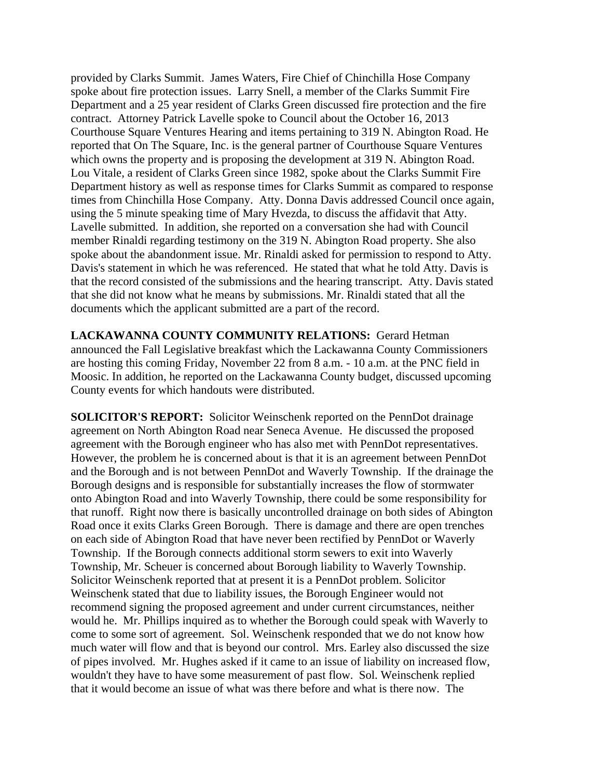provided by Clarks Summit. James Waters, Fire Chief of Chinchilla Hose Company spoke about fire protection issues. Larry Snell, a member of the Clarks Summit Fire Department and a 25 year resident of Clarks Green discussed fire protection and the fire contract. Attorney Patrick Lavelle spoke to Council about the October 16, 2013 Courthouse Square Ventures Hearing and items pertaining to 319 N. Abington Road. He reported that On The Square, Inc. is the general partner of Courthouse Square Ventures which owns the property and is proposing the development at 319 N. Abington Road. Lou Vitale, a resident of Clarks Green since 1982, spoke about the Clarks Summit Fire Department history as well as response times for Clarks Summit as compared to response times from Chinchilla Hose Company. Atty. Donna Davis addressed Council once again, using the 5 minute speaking time of Mary Hvezda, to discuss the affidavit that Atty. Lavelle submitted. In addition, she reported on a conversation she had with Council member Rinaldi regarding testimony on the 319 N. Abington Road property. She also spoke about the abandonment issue. Mr. Rinaldi asked for permission to respond to Atty. Davis's statement in which he was referenced. He stated that what he told Atty. Davis is that the record consisted of the submissions and the hearing transcript. Atty. Davis stated that she did not know what he means by submissions. Mr. Rinaldi stated that all the documents which the applicant submitted are a part of the record.

**LACKAWANNA COUNTY COMMUNITY RELATIONS:** Gerard Hetman announced the Fall Legislative breakfast which the Lackawanna County Commissioners are hosting this coming Friday, November 22 from 8 a.m. - 10 a.m. at the PNC field in Moosic. In addition, he reported on the Lackawanna County budget, discussed upcoming County events for which handouts were distributed.

**SOLICITOR'S REPORT:** Solicitor Weinschenk reported on the PennDot drainage agreement on North Abington Road near Seneca Avenue. He discussed the proposed agreement with the Borough engineer who has also met with PennDot representatives. However, the problem he is concerned about is that it is an agreement between PennDot and the Borough and is not between PennDot and Waverly Township. If the drainage the Borough designs and is responsible for substantially increases the flow of stormwater onto Abington Road and into Waverly Township, there could be some responsibility for that runoff. Right now there is basically uncontrolled drainage on both sides of Abington Road once it exits Clarks Green Borough. There is damage and there are open trenches on each side of Abington Road that have never been rectified by PennDot or Waverly Township. If the Borough connects additional storm sewers to exit into Waverly Township, Mr. Scheuer is concerned about Borough liability to Waverly Township. Solicitor Weinschenk reported that at present it is a PennDot problem. Solicitor Weinschenk stated that due to liability issues, the Borough Engineer would not recommend signing the proposed agreement and under current circumstances, neither would he. Mr. Phillips inquired as to whether the Borough could speak with Waverly to come to some sort of agreement. Sol. Weinschenk responded that we do not know how much water will flow and that is beyond our control. Mrs. Earley also discussed the size of pipes involved. Mr. Hughes asked if it came to an issue of liability on increased flow, wouldn't they have to have some measurement of past flow. Sol. Weinschenk replied that it would become an issue of what was there before and what is there now. The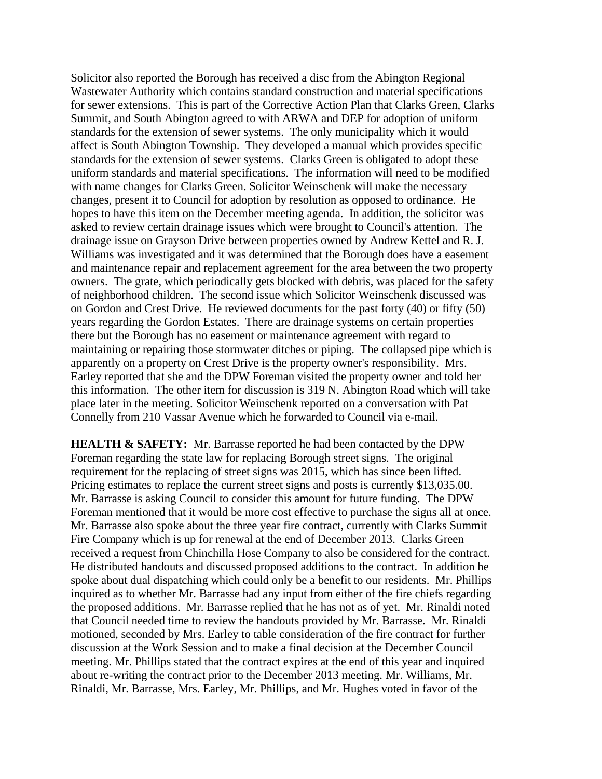Solicitor also reported the Borough has received a disc from the Abington Regional Wastewater Authority which contains standard construction and material specifications for sewer extensions. This is part of the Corrective Action Plan that Clarks Green, Clarks Summit, and South Abington agreed to with ARWA and DEP for adoption of uniform standards for the extension of sewer systems. The only municipality which it would affect is South Abington Township. They developed a manual which provides specific standards for the extension of sewer systems. Clarks Green is obligated to adopt these uniform standards and material specifications. The information will need to be modified with name changes for Clarks Green. Solicitor Weinschenk will make the necessary changes, present it to Council for adoption by resolution as opposed to ordinance. He hopes to have this item on the December meeting agenda. In addition, the solicitor was asked to review certain drainage issues which were brought to Council's attention. The drainage issue on Grayson Drive between properties owned by Andrew Kettel and R. J. Williams was investigated and it was determined that the Borough does have a easement and maintenance repair and replacement agreement for the area between the two property owners. The grate, which periodically gets blocked with debris, was placed for the safety of neighborhood children. The second issue which Solicitor Weinschenk discussed was on Gordon and Crest Drive. He reviewed documents for the past forty (40) or fifty (50) years regarding the Gordon Estates. There are drainage systems on certain properties there but the Borough has no easement or maintenance agreement with regard to maintaining or repairing those stormwater ditches or piping. The collapsed pipe which is apparently on a property on Crest Drive is the property owner's responsibility. Mrs. Earley reported that she and the DPW Foreman visited the property owner and told her this information. The other item for discussion is 319 N. Abington Road which will take place later in the meeting. Solicitor Weinschenk reported on a conversation with Pat Connelly from 210 Vassar Avenue which he forwarded to Council via e-mail.

**HEALTH & SAFETY:** Mr. Barrasse reported he had been contacted by the DPW Foreman regarding the state law for replacing Borough street signs. The original requirement for the replacing of street signs was 2015, which has since been lifted. Pricing estimates to replace the current street signs and posts is currently \$13,035.00. Mr. Barrasse is asking Council to consider this amount for future funding. The DPW Foreman mentioned that it would be more cost effective to purchase the signs all at once. Mr. Barrasse also spoke about the three year fire contract, currently with Clarks Summit Fire Company which is up for renewal at the end of December 2013. Clarks Green received a request from Chinchilla Hose Company to also be considered for the contract. He distributed handouts and discussed proposed additions to the contract. In addition he spoke about dual dispatching which could only be a benefit to our residents. Mr. Phillips inquired as to whether Mr. Barrasse had any input from either of the fire chiefs regarding the proposed additions. Mr. Barrasse replied that he has not as of yet. Mr. Rinaldi noted that Council needed time to review the handouts provided by Mr. Barrasse. Mr. Rinaldi motioned, seconded by Mrs. Earley to table consideration of the fire contract for further discussion at the Work Session and to make a final decision at the December Council meeting. Mr. Phillips stated that the contract expires at the end of this year and inquired about re-writing the contract prior to the December 2013 meeting. Mr. Williams, Mr. Rinaldi, Mr. Barrasse, Mrs. Earley, Mr. Phillips, and Mr. Hughes voted in favor of the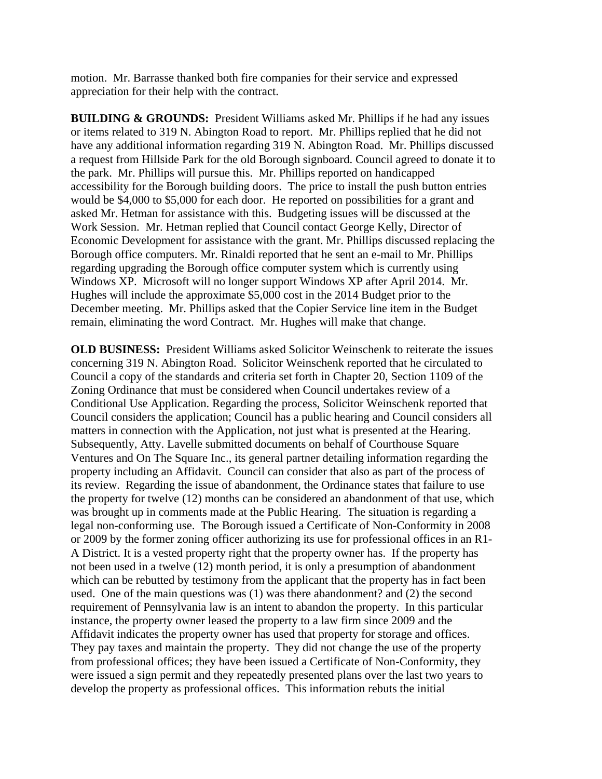motion. Mr. Barrasse thanked both fire companies for their service and expressed appreciation for their help with the contract.

**BUILDING & GROUNDS:** President Williams asked Mr. Phillips if he had any issues or items related to 319 N. Abington Road to report. Mr. Phillips replied that he did not have any additional information regarding 319 N. Abington Road. Mr. Phillips discussed a request from Hillside Park for the old Borough signboard. Council agreed to donate it to the park. Mr. Phillips will pursue this. Mr. Phillips reported on handicapped accessibility for the Borough building doors. The price to install the push button entries would be \$4,000 to \$5,000 for each door. He reported on possibilities for a grant and asked Mr. Hetman for assistance with this. Budgeting issues will be discussed at the Work Session. Mr. Hetman replied that Council contact George Kelly, Director of Economic Development for assistance with the grant. Mr. Phillips discussed replacing the Borough office computers. Mr. Rinaldi reported that he sent an e-mail to Mr. Phillips regarding upgrading the Borough office computer system which is currently using Windows XP. Microsoft will no longer support Windows XP after April 2014. Mr. Hughes will include the approximate \$5,000 cost in the 2014 Budget prior to the December meeting. Mr. Phillips asked that the Copier Service line item in the Budget remain, eliminating the word Contract. Mr. Hughes will make that change.

**OLD BUSINESS:** President Williams asked Solicitor Weinschenk to reiterate the issues concerning 319 N. Abington Road. Solicitor Weinschenk reported that he circulated to Council a copy of the standards and criteria set forth in Chapter 20, Section 1109 of the Zoning Ordinance that must be considered when Council undertakes review of a Conditional Use Application. Regarding the process, Solicitor Weinschenk reported that Council considers the application; Council has a public hearing and Council considers all matters in connection with the Application, not just what is presented at the Hearing. Subsequently, Atty. Lavelle submitted documents on behalf of Courthouse Square Ventures and On The Square Inc., its general partner detailing information regarding the property including an Affidavit. Council can consider that also as part of the process of its review. Regarding the issue of abandonment, the Ordinance states that failure to use the property for twelve (12) months can be considered an abandonment of that use, which was brought up in comments made at the Public Hearing. The situation is regarding a legal non-conforming use. The Borough issued a Certificate of Non-Conformity in 2008 or 2009 by the former zoning officer authorizing its use for professional offices in an R1- A District. It is a vested property right that the property owner has. If the property has not been used in a twelve (12) month period, it is only a presumption of abandonment which can be rebutted by testimony from the applicant that the property has in fact been used. One of the main questions was (1) was there abandonment? and (2) the second requirement of Pennsylvania law is an intent to abandon the property. In this particular instance, the property owner leased the property to a law firm since 2009 and the Affidavit indicates the property owner has used that property for storage and offices. They pay taxes and maintain the property. They did not change the use of the property from professional offices; they have been issued a Certificate of Non-Conformity, they were issued a sign permit and they repeatedly presented plans over the last two years to develop the property as professional offices. This information rebuts the initial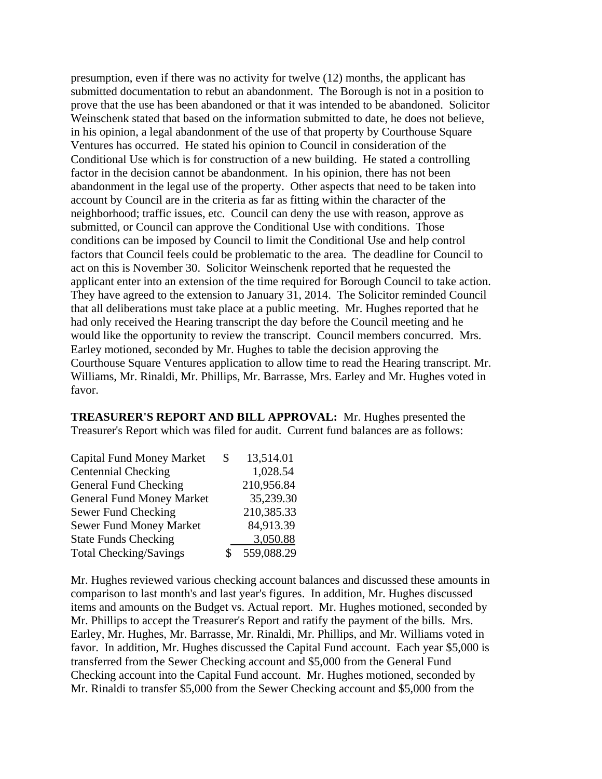presumption, even if there was no activity for twelve (12) months, the applicant has submitted documentation to rebut an abandonment. The Borough is not in a position to prove that the use has been abandoned or that it was intended to be abandoned. Solicitor Weinschenk stated that based on the information submitted to date, he does not believe, in his opinion, a legal abandonment of the use of that property by Courthouse Square Ventures has occurred. He stated his opinion to Council in consideration of the Conditional Use which is for construction of a new building. He stated a controlling factor in the decision cannot be abandonment. In his opinion, there has not been abandonment in the legal use of the property. Other aspects that need to be taken into account by Council are in the criteria as far as fitting within the character of the neighborhood; traffic issues, etc. Council can deny the use with reason, approve as submitted, or Council can approve the Conditional Use with conditions. Those conditions can be imposed by Council to limit the Conditional Use and help control factors that Council feels could be problematic to the area. The deadline for Council to act on this is November 30. Solicitor Weinschenk reported that he requested the applicant enter into an extension of the time required for Borough Council to take action. They have agreed to the extension to January 31, 2014. The Solicitor reminded Council that all deliberations must take place at a public meeting. Mr. Hughes reported that he had only received the Hearing transcript the day before the Council meeting and he would like the opportunity to review the transcript. Council members concurred. Mrs. Earley motioned, seconded by Mr. Hughes to table the decision approving the Courthouse Square Ventures application to allow time to read the Hearing transcript. Mr. Williams, Mr. Rinaldi, Mr. Phillips, Mr. Barrasse, Mrs. Earley and Mr. Hughes voted in favor.

**TREASURER'S REPORT AND BILL APPROVAL:** Mr. Hughes presented the Treasurer's Report which was filed for audit. Current fund balances are as follows:

| S | 13,514.01  |
|---|------------|
|   | 1,028.54   |
|   | 210,956.84 |
|   | 35,239.30  |
|   | 210,385.33 |
|   | 84,913.39  |
|   | 3,050.88   |
|   | 559,088.29 |
|   |            |

Mr. Hughes reviewed various checking account balances and discussed these amounts in comparison to last month's and last year's figures. In addition, Mr. Hughes discussed items and amounts on the Budget vs. Actual report. Mr. Hughes motioned, seconded by Mr. Phillips to accept the Treasurer's Report and ratify the payment of the bills. Mrs. Earley, Mr. Hughes, Mr. Barrasse, Mr. Rinaldi, Mr. Phillips, and Mr. Williams voted in favor. In addition, Mr. Hughes discussed the Capital Fund account. Each year \$5,000 is transferred from the Sewer Checking account and \$5,000 from the General Fund Checking account into the Capital Fund account. Mr. Hughes motioned, seconded by Mr. Rinaldi to transfer \$5,000 from the Sewer Checking account and \$5,000 from the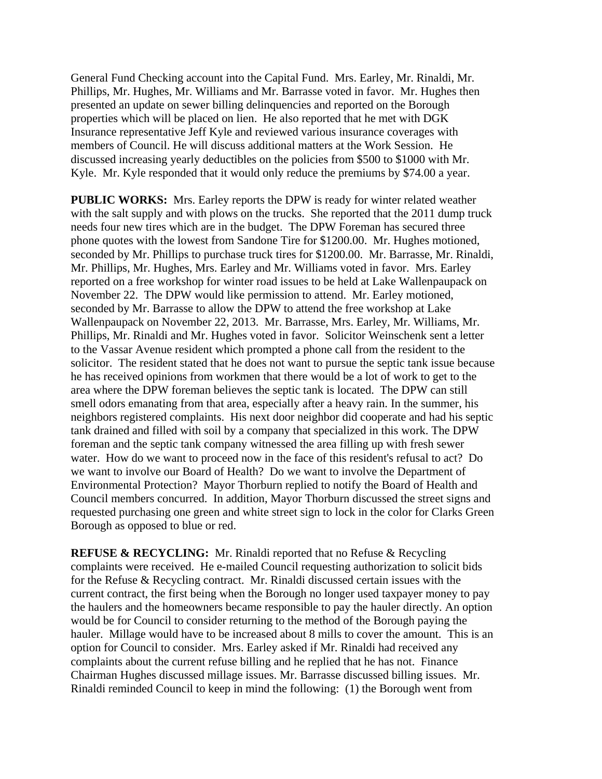General Fund Checking account into the Capital Fund. Mrs. Earley, Mr. Rinaldi, Mr. Phillips, Mr. Hughes, Mr. Williams and Mr. Barrasse voted in favor. Mr. Hughes then presented an update on sewer billing delinquencies and reported on the Borough properties which will be placed on lien. He also reported that he met with DGK Insurance representative Jeff Kyle and reviewed various insurance coverages with members of Council. He will discuss additional matters at the Work Session. He discussed increasing yearly deductibles on the policies from \$500 to \$1000 with Mr. Kyle. Mr. Kyle responded that it would only reduce the premiums by \$74.00 a year.

**PUBLIC WORKS:** Mrs. Earley reports the DPW is ready for winter related weather with the salt supply and with plows on the trucks. She reported that the 2011 dump truck needs four new tires which are in the budget. The DPW Foreman has secured three phone quotes with the lowest from Sandone Tire for \$1200.00. Mr. Hughes motioned, seconded by Mr. Phillips to purchase truck tires for \$1200.00. Mr. Barrasse, Mr. Rinaldi, Mr. Phillips, Mr. Hughes, Mrs. Earley and Mr. Williams voted in favor. Mrs. Earley reported on a free workshop for winter road issues to be held at Lake Wallenpaupack on November 22. The DPW would like permission to attend. Mr. Earley motioned, seconded by Mr. Barrasse to allow the DPW to attend the free workshop at Lake Wallenpaupack on November 22, 2013. Mr. Barrasse, Mrs. Earley, Mr. Williams, Mr. Phillips, Mr. Rinaldi and Mr. Hughes voted in favor. Solicitor Weinschenk sent a letter to the Vassar Avenue resident which prompted a phone call from the resident to the solicitor. The resident stated that he does not want to pursue the septic tank issue because he has received opinions from workmen that there would be a lot of work to get to the area where the DPW foreman believes the septic tank is located. The DPW can still smell odors emanating from that area, especially after a heavy rain. In the summer, his neighbors registered complaints. His next door neighbor did cooperate and had his septic tank drained and filled with soil by a company that specialized in this work. The DPW foreman and the septic tank company witnessed the area filling up with fresh sewer water. How do we want to proceed now in the face of this resident's refusal to act? Do we want to involve our Board of Health? Do we want to involve the Department of Environmental Protection? Mayor Thorburn replied to notify the Board of Health and Council members concurred. In addition, Mayor Thorburn discussed the street signs and requested purchasing one green and white street sign to lock in the color for Clarks Green Borough as opposed to blue or red.

**REFUSE & RECYCLING:** Mr. Rinaldi reported that no Refuse & Recycling complaints were received. He e-mailed Council requesting authorization to solicit bids for the Refuse & Recycling contract. Mr. Rinaldi discussed certain issues with the current contract, the first being when the Borough no longer used taxpayer money to pay the haulers and the homeowners became responsible to pay the hauler directly. An option would be for Council to consider returning to the method of the Borough paying the hauler. Millage would have to be increased about 8 mills to cover the amount. This is an option for Council to consider. Mrs. Earley asked if Mr. Rinaldi had received any complaints about the current refuse billing and he replied that he has not. Finance Chairman Hughes discussed millage issues. Mr. Barrasse discussed billing issues. Mr. Rinaldi reminded Council to keep in mind the following: (1) the Borough went from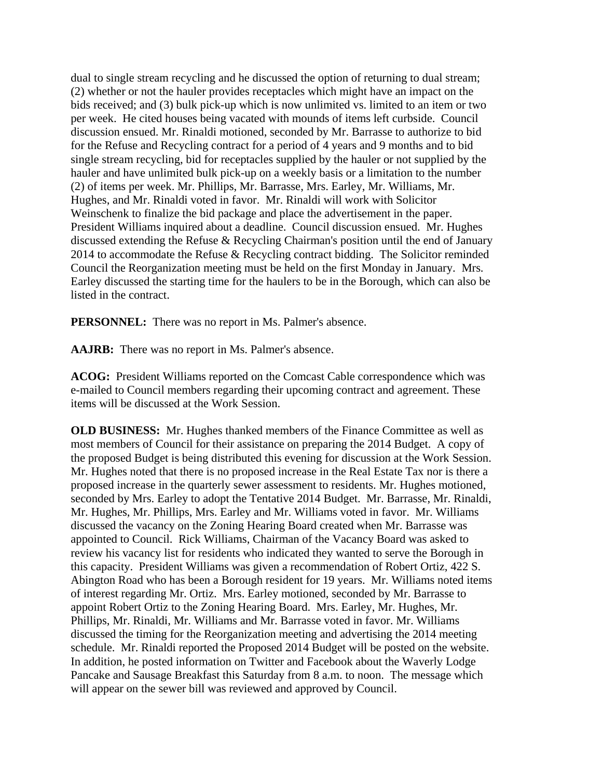dual to single stream recycling and he discussed the option of returning to dual stream; (2) whether or not the hauler provides receptacles which might have an impact on the bids received; and (3) bulk pick-up which is now unlimited vs. limited to an item or two per week. He cited houses being vacated with mounds of items left curbside. Council discussion ensued. Mr. Rinaldi motioned, seconded by Mr. Barrasse to authorize to bid for the Refuse and Recycling contract for a period of 4 years and 9 months and to bid single stream recycling, bid for receptacles supplied by the hauler or not supplied by the hauler and have unlimited bulk pick-up on a weekly basis or a limitation to the number (2) of items per week. Mr. Phillips, Mr. Barrasse, Mrs. Earley, Mr. Williams, Mr. Hughes, and Mr. Rinaldi voted in favor. Mr. Rinaldi will work with Solicitor Weinschenk to finalize the bid package and place the advertisement in the paper. President Williams inquired about a deadline. Council discussion ensued. Mr. Hughes discussed extending the Refuse & Recycling Chairman's position until the end of January 2014 to accommodate the Refuse & Recycling contract bidding. The Solicitor reminded Council the Reorganization meeting must be held on the first Monday in January. Mrs. Earley discussed the starting time for the haulers to be in the Borough, which can also be listed in the contract.

**PERSONNEL:** There was no report in Ms. Palmer's absence.

**AAJRB:** There was no report in Ms. Palmer's absence.

**ACOG:** President Williams reported on the Comcast Cable correspondence which was e-mailed to Council members regarding their upcoming contract and agreement. These items will be discussed at the Work Session.

**OLD BUSINESS:** Mr. Hughes thanked members of the Finance Committee as well as most members of Council for their assistance on preparing the 2014 Budget. A copy of the proposed Budget is being distributed this evening for discussion at the Work Session. Mr. Hughes noted that there is no proposed increase in the Real Estate Tax nor is there a proposed increase in the quarterly sewer assessment to residents. Mr. Hughes motioned, seconded by Mrs. Earley to adopt the Tentative 2014 Budget. Mr. Barrasse, Mr. Rinaldi, Mr. Hughes, Mr. Phillips, Mrs. Earley and Mr. Williams voted in favor. Mr. Williams discussed the vacancy on the Zoning Hearing Board created when Mr. Barrasse was appointed to Council. Rick Williams, Chairman of the Vacancy Board was asked to review his vacancy list for residents who indicated they wanted to serve the Borough in this capacity. President Williams was given a recommendation of Robert Ortiz, 422 S. Abington Road who has been a Borough resident for 19 years. Mr. Williams noted items of interest regarding Mr. Ortiz. Mrs. Earley motioned, seconded by Mr. Barrasse to appoint Robert Ortiz to the Zoning Hearing Board. Mrs. Earley, Mr. Hughes, Mr. Phillips, Mr. Rinaldi, Mr. Williams and Mr. Barrasse voted in favor. Mr. Williams discussed the timing for the Reorganization meeting and advertising the 2014 meeting schedule. Mr. Rinaldi reported the Proposed 2014 Budget will be posted on the website. In addition, he posted information on Twitter and Facebook about the Waverly Lodge Pancake and Sausage Breakfast this Saturday from 8 a.m. to noon. The message which will appear on the sewer bill was reviewed and approved by Council.